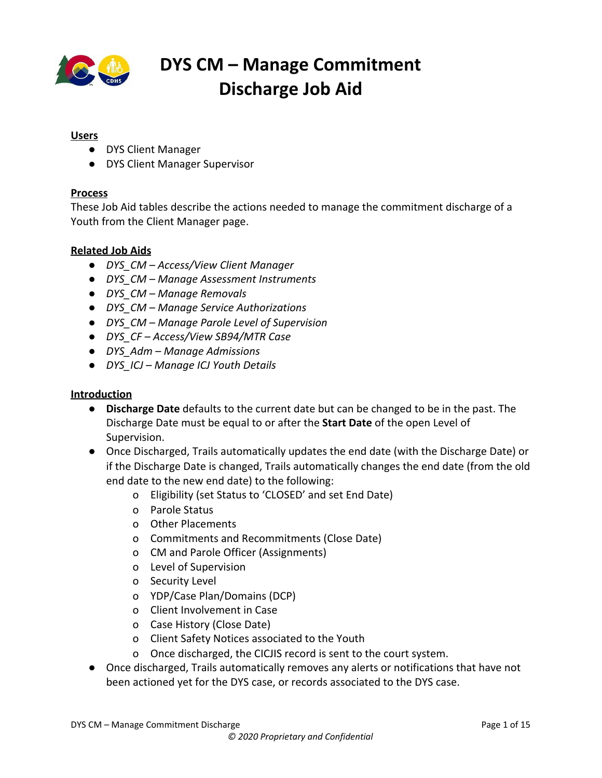

#### **Users**

- DYS Client Manager
- DYS Client Manager Supervisor

#### **Process**

These Job Aid tables describe the actions needed to manage the commitment discharge of a Youth from the Client Manager page.

#### **Related Job Aids**

- *DYS\_CM Access/View Client Manager*
- *● DYS\_CM Manage Assessment Instruments*
- *● DYS\_CM Manage Removals*
- *● DYS\_CM Manage Service Authorizations*
- *● DYS\_CM Manage Parole Level of Supervision*
- *● DYS\_CF Access/View SB94/MTR Case*
- *● DYS\_Adm Manage Admissions*
- *● DYS\_ICJ Manage ICJ Youth Details*

#### **Introduction**

- **Discharge Date** defaults to the current date but can be changed to be in the past. The Discharge Date must be equal to or after the **Start Date** of the open Level of Supervision.
- Once Discharged, Trails automatically updates the end date (with the Discharge Date) or if the Discharge Date is changed, Trails automatically changes the end date (from the old end date to the new end date) to the following:
	- o Eligibility (set Status to 'CLOSED' and set End Date)
	- o Parole Status
	- o Other Placements
	- o Commitments and Recommitments (Close Date)
	- o CM and Parole Officer (Assignments)
	- o Level of Supervision
	- o Security Level
	- o YDP/Case Plan/Domains (DCP)
	- o Client Involvement in Case
	- o Case History (Close Date)
	- o Client Safety Notices associated to the Youth
	- o Once discharged, the CICJIS record is sent to the court system.
- Once discharged, Trails automatically removes any alerts or notifications that have not been actioned yet for the DYS case, or records associated to the DYS case.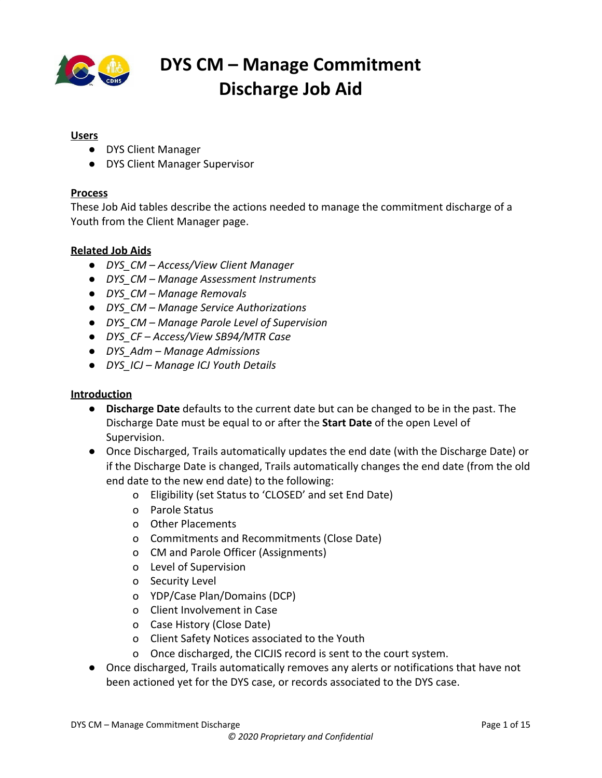

| <b>Table of Contents</b>         |    |
|----------------------------------|----|
| Access/View Commitment Discharge |    |
| Add Commitment Discharge         | 4  |
| <b>Edit Commitment Discharge</b> | 13 |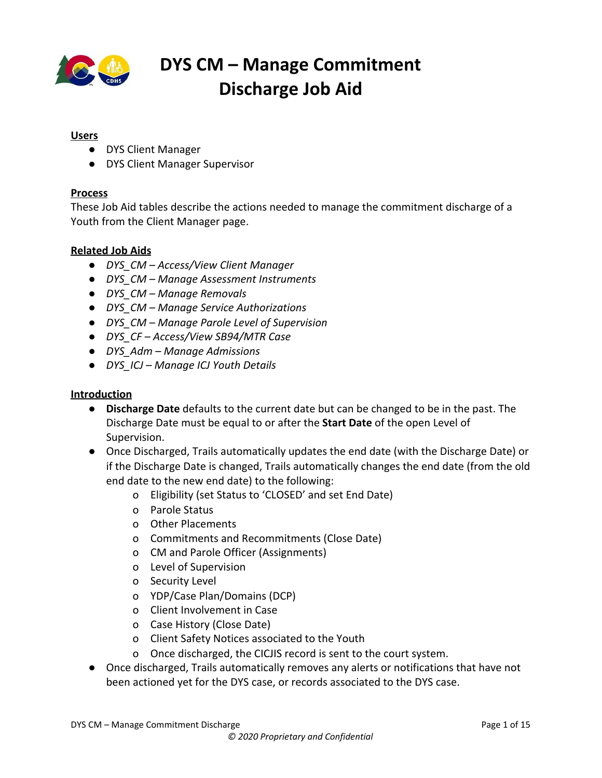

#### <span id="page-2-0"></span>**Access/View Commitment Discharge**

| Steps/Output                                                           | <b>Screenshot</b>                                                                                                                                                                                                                                                                                                                      |
|------------------------------------------------------------------------|----------------------------------------------------------------------------------------------------------------------------------------------------------------------------------------------------------------------------------------------------------------------------------------------------------------------------------------|
| Refer to the DYS Client Manager -                                      | COLORADO<br>co <sup>3</sup><br><b>Department of Human Services</b><br>Welcome, Cizi Ois Test5 (<br>മ                                                                                                                                                                                                                                   |
| <b>Access and View Client Manager</b><br>Detail Job Aid for details on | Workspace - Client Search<br>DYS Client Manager 1849509, 1698247<br>$\times$<br><b>Back to Workspace</b><br><b>INDUITE CITULATE DUIL</b><br>manny was<br>1712<br><b>WOUTE</b><br>Show Menu<br>Post Commitment Parole Hearing<br>Initial Parole Granted<br>12/17/2019<br>12/17/2019<br>Youth Info                                       |
| locating the desired Client                                            | Collaberals<br>Case Notes<br><b>Parole Status</b><br>Contacts and Visits<br>Permanency Goal<br>Start Date<br>End Date<br>Status <b>T</b><br>Type<br>15 of 22                                                                                                                                                                           |
| Manager Detail page.                                                   | Removals<br>12/17/2019<br>Post Commitment<br>Parole<br>Document Tracking<br>Debts/Expense<br>Medical Providers<br>Parole Level of Supervision (1)<br>Actions v -<br>Sex Offender Info                                                                                                                                                  |
| In the Left Navigation Panel:                                          | Security Level<br>Level Of Supervision T<br>Level Start Date T<br>Level End Date T<br>Length Of Stay<br>CJRA PreScreening<br>12/17/2019<br>High<br>Assessment Instruments<br>Trafficking                                                                                                                                               |
| 1. Click Commitment Discharge.                                         | Drug and Alcohol Screening<br><b>Commitment Discharge</b><br>Actions v -<br><b>Placement</b><br>Service Authorization<br>Discharge Date <b>T P</b> Discharge Type<br>Discharge Placement<br>Parole Adiustment<br>Case ID<br>Other Placements<br>No data available in table<br>Team Members<br>Reviews/Meetings<br>Projected Transition |
| This navigates to the <i>Commitment</i>                                | <b>EDU Notify</b><br>Assignment and Transfer History @<br>Actions v +<br>Notice of Services Action<br>Parole Hearings<br>Parole Status<br>Non-Resident Youth Information<br>Actions -                                                                                                                                                  |
| Discharge section.                                                     | ommitment Dischar<br>Date/Time Discovered<br>Date Reported $\overline{\tau}$ Description $\overline{\tau}$<br>$\mathbf{v}$<br>History<br>Non-Resident Youth<br>No information available<br>Information                                                                                                                                 |
|                                                                        | Save                                                                                                                                                                                                                                                                                                                                   |
|                                                                        |                                                                                                                                                                                                                                                                                                                                        |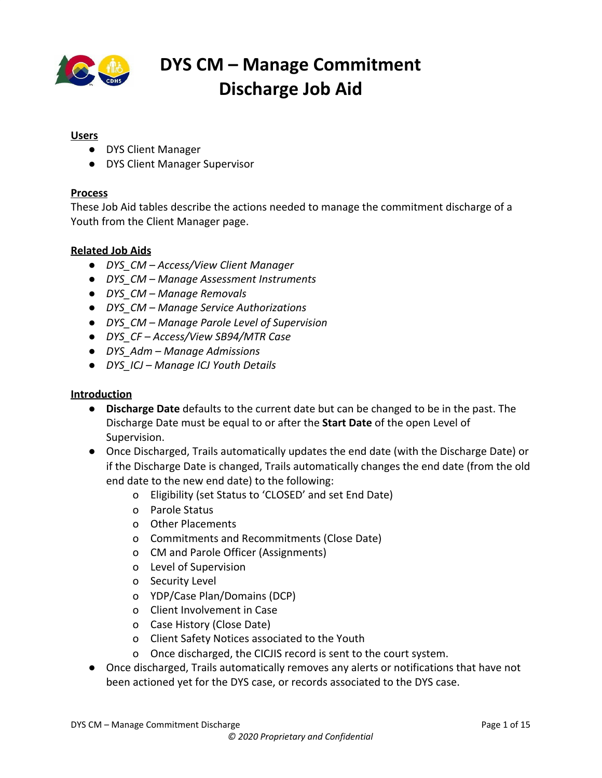

#### <span id="page-3-0"></span>**Add Commitment Discharge**

- Once a discharge has been added, a new discharge cannot be created.
- A Commitment Discharge cannot be added if any of the following sections are open/active:
	- o SB94 or MTR Cases
	- o Admissions
	- o Detention Sentences
	- o Level of Supervision
	- o ICJ Statuses
	- o Service Authorizations
	- o Removals

#### **Steps/Output Screenshot** In the *Commitment Discharge* **COLORADO**  $\mathbf{e}$   $\mathbf{e}$   $\mathbf{e}$ section: ack to We 12/17/201 12/17/2019 Initial Parole Granted 1. Click the **Actions** drop-down arrow in the *Commitment Discharge* section header. 2. Select **Add Commitment Discharge** from the drop-down.e Date  $\sqrt{r}$  I .<br>Nailable in table y @ ation  $\bullet$ e Discovered T Save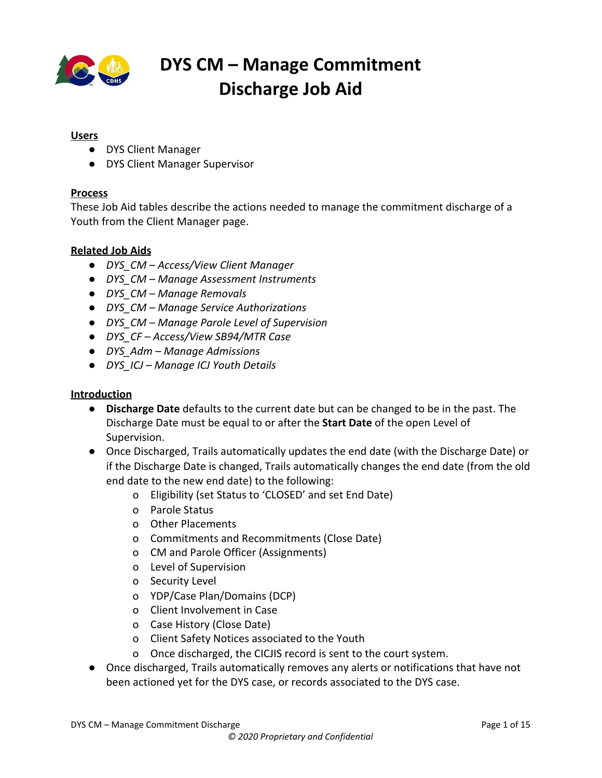

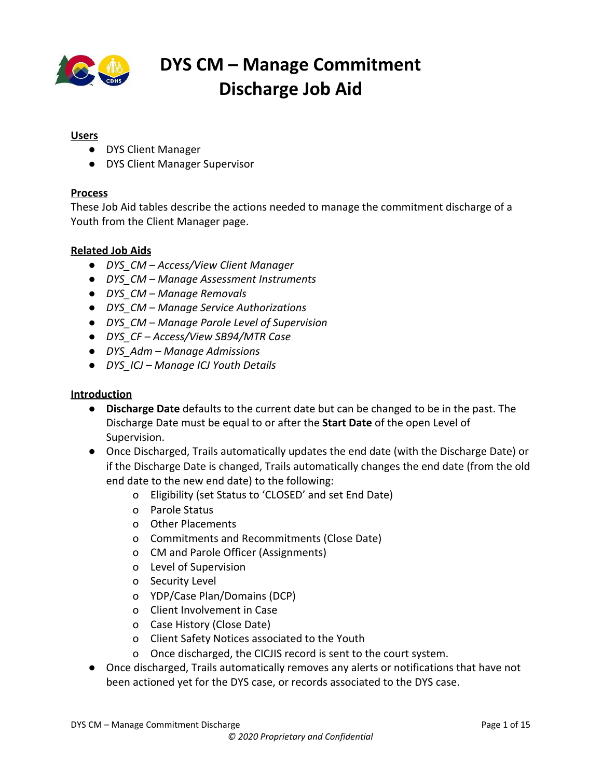

| In the Add Commitment Discharge<br>pop-up window:<br>4. Click the Discharge<br>Date*calendar function<br>5. Select the appropriate date. | COLORADO<br>$\hat{c}$<br>0 A<br>$\bullet$ $\bullet$<br>est5(L)<br>$\nearrow\times$<br><b>Add Commitment Discharge</b><br>DYS Client Manager 1849509, 1698247<br>Workspace - Home<br>Discharge Date*<br>Discharge Type*<br>白<br>3/9/2020<br>Early Parole Discharge-E><br>DYS Client Manager De<br>Actions v<br>Discharge Placement*<br>Parole Adjustment*<br>Victim Notification - N/A<br>Parent/Guardian<br>$\checkmark$<br>Excellent Discharge<br><b>O</b> Full Time Program<br><b>Youth Info</b><br>School/Vocational Training V<br><b>First Name</b><br>Suffix<br>Part Time Program<br><b>YZJGTAHTKR</b><br>○ No Program<br><b>Biological Gender</b><br><b>Preferred Gender Pronour</b><br>Parole Adjustment<br>Select<br>Female<br>Parolee has had Filings of Felony Charges in District Court*<br>No<br>Client ID<br>SSN<br>1698247<br>880006722<br>Parolee has had Filings of Misdemeanor Charges in District<br>Court"<br>State ID<br><b>Home School District</b><br>No<br>Y452599<br>Cherry Creek<br>Parolee has had parole sanctions *<br>Primary Ethnicity*<br>Weight (Ibs.)<br>Weight (oz.)<br><b>Black or African Am</b><br>No<br>150<br>Parolee had parole Revoked One Time"<br><b>Distinguishing Characteristics</b><br>-REDACTED-<br>No<br><b>Protection Order</b><br>Cancel<br>$\operatorname{\mathsf{Add}}$ |
|------------------------------------------------------------------------------------------------------------------------------------------|------------------------------------------------------------------------------------------------------------------------------------------------------------------------------------------------------------------------------------------------------------------------------------------------------------------------------------------------------------------------------------------------------------------------------------------------------------------------------------------------------------------------------------------------------------------------------------------------------------------------------------------------------------------------------------------------------------------------------------------------------------------------------------------------------------------------------------------------------------------------------------------------------------------------------------------------------------------------------------------------------------------------------------------------------------------------------------------------------------------------------------------------------------------------------------------------------------------------------------------------------------------------------------------------------------------------------|
| 6. Click the Discharge Type*<br>drop-down arrow.<br>7. Select the appropriate option.                                                    | COLORADO<br>$\frac{1}{2}$<br>- 0<br>$\ddot{\circ}$<br>0 A<br><b>Add Commitment Discharge</b><br>アメ<br>DYS Client Manager 1849509, 1698247<br>Workspace - Home<br>Discharge Date*<br>Discharge Type*<br>苣<br>3/9/2020<br>Early Parole Discharge-E><br>DYS Client Manager De<br><b>Actions v</b><br>Parole Adjustment*<br>Discharge Placement*<br>Victim Notification - N/A<br>Parent/Guardian<br>Excellent Discharge<br>Full Time Program<br><b>Youth Info</b><br>School/Vocational Training V<br>Suffix<br><b>First Name</b><br>Part Time Program<br><b>YZJGTAHTKR</b><br>No Program<br><b>Preferred Gender Pronour</b><br><b>Biological Gender</b><br>Parole Adjustment<br>Female<br>Select.<br>Parolee has had Filings of Felony Charges in District Court*<br>Client ID<br>N <sub>o</sub><br>SSN<br>880006722<br>1698247<br>Parolee has had Filings of Misdemeanor Charges in District<br>Court*<br>Home School District*<br>State ID<br>No<br>Y452599<br>Cherry Creek 5<br>Parolee has had parole sanctions *<br>Primary Ethnicity*<br>Weight (Ibs.)<br>Weight (oz.)<br>Black or African American<br>No<br>150<br>Parolee had parole Revoked One Time'<br><b>Distinguishing Characteristics</b><br>-REDACTED-<br>No<br><b>Protection Order</b><br>Cancel<br>$\operatorname{\mathsf{Add}}$<br>Save                        |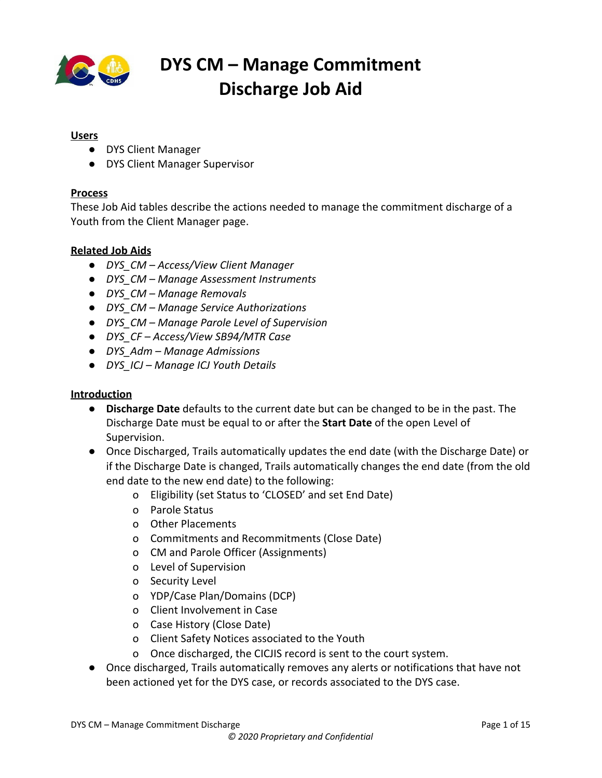

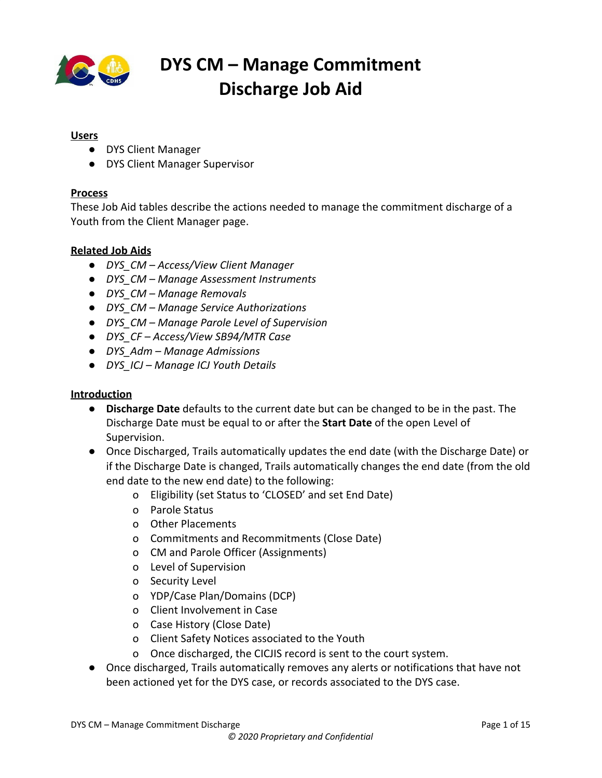

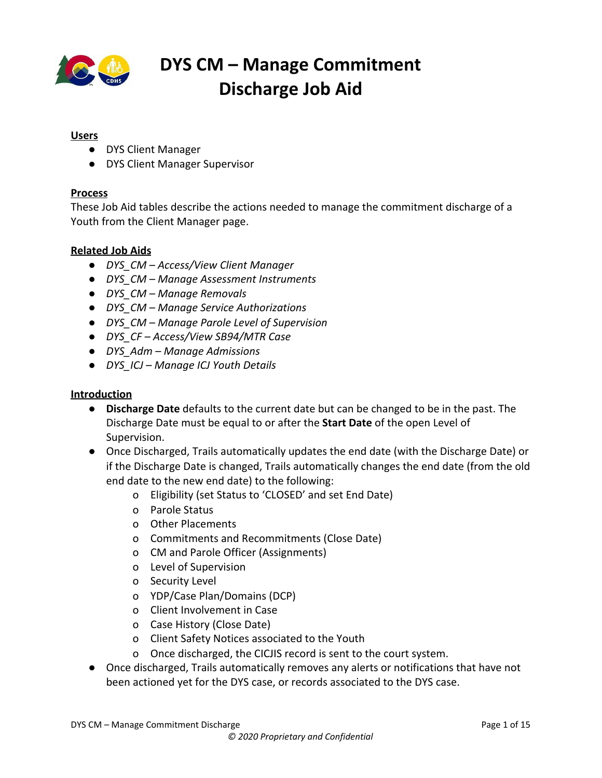

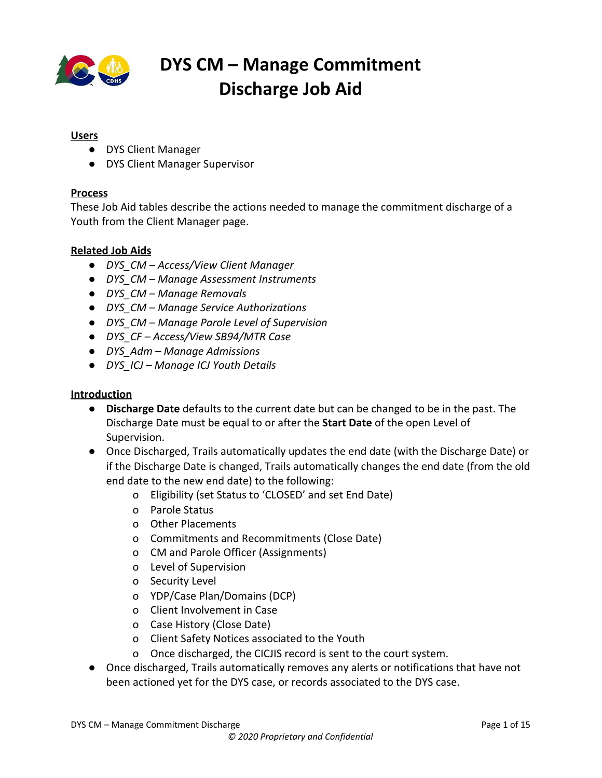

| The Parole Adjustment* field<br>auto-populates once all the<br>information is entered in the<br>Parole Adjustment section.                                                                | <b>CYFMT</b><br>COLORADO<br>at5 (Logout)<br>60<br>ZX.<br><b>Add Commitment Discharge</b><br>DYS Client Manager 1849509, 1698247<br>Workspace - Home<br>Discharge Placement*<br>Parole Adjustment*<br>Excellent Discharge<br>Parent/Guardian<br>$\checkmark$<br><b>DYS Client Manager De</b><br><b>Actions v</b><br><b>O</b> Full Time Program<br>Victim Notification - N/A<br>School/Vocational Training<br>○ Part Time Program<br><b>Youth Info</b><br>Parole Adjustment<br>Suffix<br><b>First Name</b><br>Parolee has had Filings of Felony Charges in District Court*<br><b>YZJGTAHTKR</b><br><b>No</b><br><b>Biological Gender</b><br><b>Preferred Gender Pronour</b><br>Select<br>Female<br>Parolee has had Filings of Misdemeanor Charges in District<br>Court*<br>Client ID<br>SSN<br>No<br>880006722<br>1698247<br>Parolee has had parole sanctions<br>State ID<br><b>Home School District</b><br>No<br>Y452599<br>Cherry Creek 5<br>Parolee had parole Revoked One Time*<br><b>Primary Ethnicity</b><br>Weight (Ibs.)<br>Weight (oz.)<br>Black or African American<br>150<br>No<br>Parolee had parole Revoked Multiple Times*<br><b>Distinguishing Characteristics</b><br>-REDACTED-<br>No<br><b>Protection Order</b><br>Cancel<br>$\operatorname{\mathsf{Add}}$ |
|-------------------------------------------------------------------------------------------------------------------------------------------------------------------------------------------|---------------------------------------------------------------------------------------------------------------------------------------------------------------------------------------------------------------------------------------------------------------------------------------------------------------------------------------------------------------------------------------------------------------------------------------------------------------------------------------------------------------------------------------------------------------------------------------------------------------------------------------------------------------------------------------------------------------------------------------------------------------------------------------------------------------------------------------------------------------------------------------------------------------------------------------------------------------------------------------------------------------------------------------------------------------------------------------------------------------------------------------------------------------------------------------------------------------------------------------------------------------------------|
| In the Have at Discharge section:<br>17. Click Yes/No toggle switches<br>to respond to the questions.<br>Note: If No is selected for both<br>GED* and Diploma*, Comments<br>are required. |                                                                                                                                                                                                                                                                                                                                                                                                                                                                                                                                                                                                                                                                                                                                                                                                                                                                                                                                                                                                                                                                                                                                                                                                                                                                           |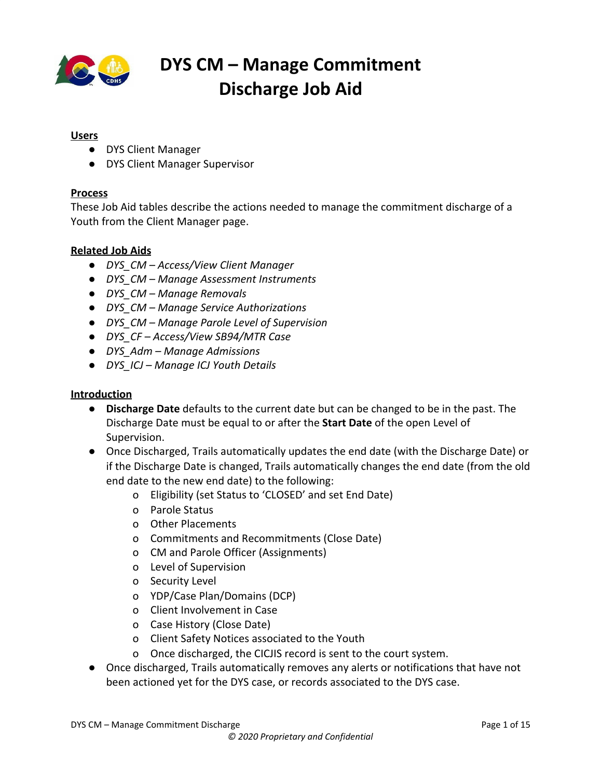

| In the Sustainable Community<br>Support section:                                                                                                                                                                                      |  |
|---------------------------------------------------------------------------------------------------------------------------------------------------------------------------------------------------------------------------------------|--|
| 18. Click Yes/No toggle switch for<br>Is Youth accessing sustainable<br>community support?*.<br>19. Select the appropriate check<br>boxes under Categories.<br>Note: If Other is selected, a text<br>field populates and Comments are |  |
| required.                                                                                                                                                                                                                             |  |
| 20. Click Add to add the<br>commitment discharge or<br>Cancel to close pop-up<br>window without saving.                                                                                                                               |  |
| The Warning! pop-up window<br>displays.                                                                                                                                                                                               |  |
|                                                                                                                                                                                                                                       |  |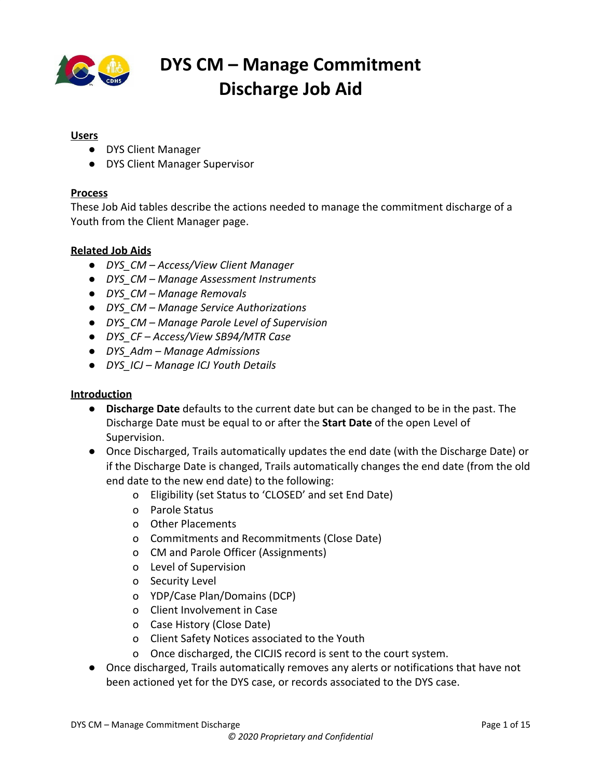

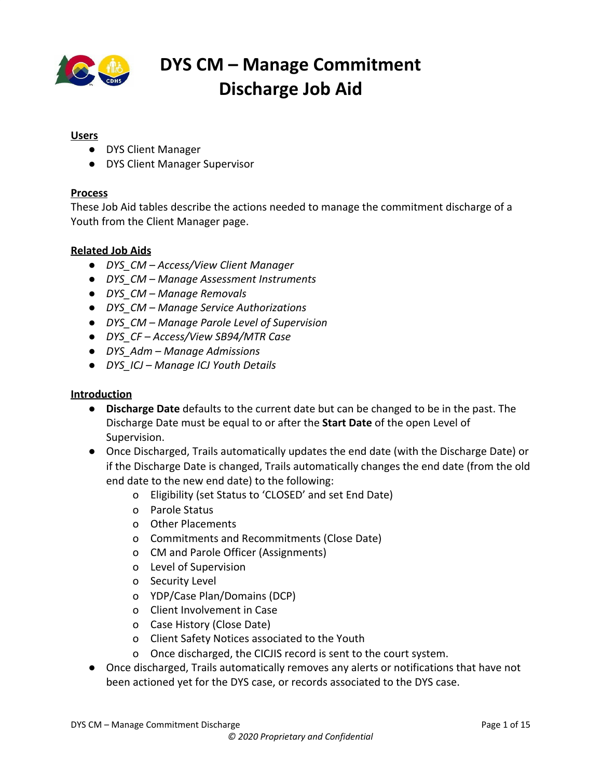

#### <span id="page-12-0"></span>**Edit Commitment Discharge**

| <b>Steps/Output</b>                                                  | <b>Screenshot</b> |
|----------------------------------------------------------------------|-------------------|
| In the Commitment Discharge<br>section:                              |                   |
| 1. Click the date link in the<br>Discharge Date column.              |                   |
| This opens the Edit Commitment<br>Discharge pop-up window.           |                   |
| In the Edit Commitment Discharge                                     |                   |
| pop-up window:                                                       |                   |
| 2. Click the calendar function<br>and change the Discharge<br>Date*. |                   |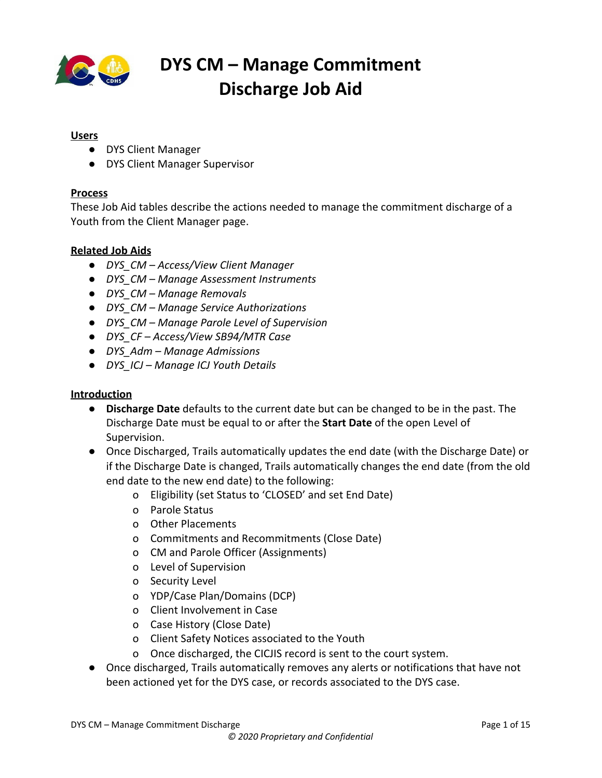

| 3. Click Update to update the<br>date change or Cancel to close<br>without saving. |                                                                                                                                                                                                                                                                                                                                                                                                                                                                                                                                                                                                                                                                                                                                                                                                                                                                                                                                                                                                                                                                                                                                                                                                                                                                                                                                                                                                                                                                                                                                                                                                                                                                                                     |
|------------------------------------------------------------------------------------|-----------------------------------------------------------------------------------------------------------------------------------------------------------------------------------------------------------------------------------------------------------------------------------------------------------------------------------------------------------------------------------------------------------------------------------------------------------------------------------------------------------------------------------------------------------------------------------------------------------------------------------------------------------------------------------------------------------------------------------------------------------------------------------------------------------------------------------------------------------------------------------------------------------------------------------------------------------------------------------------------------------------------------------------------------------------------------------------------------------------------------------------------------------------------------------------------------------------------------------------------------------------------------------------------------------------------------------------------------------------------------------------------------------------------------------------------------------------------------------------------------------------------------------------------------------------------------------------------------------------------------------------------------------------------------------------------------|
| The Warning! pop-up window<br>displays.                                            |                                                                                                                                                                                                                                                                                                                                                                                                                                                                                                                                                                                                                                                                                                                                                                                                                                                                                                                                                                                                                                                                                                                                                                                                                                                                                                                                                                                                                                                                                                                                                                                                                                                                                                     |
| In the Warning! pop-up window:                                                     | <b>CYFMT</b><br>$\frac{1}{100}$ $\frac{1000}{100}$ $\frac{1}{100}$ $\frac{1}{100}$ $\frac{1}{100}$<br>S (Logout) <b>A</b><br>$\bullet$ $\bullet$<br>Warning!                                                                                                                                                                                                                                                                                                                                                                                                                                                                                                                                                                                                                                                                                                                                                                                                                                                                                                                                                                                                                                                                                                                                                                                                                                                                                                                                                                                                                                                                                                                                        |
| 4. Click Yes to save the<br>commitment discharge.                                  | Do you really want to discharge the Youth?<br>>OYS Client Manager 1849509, 16982.<br>Workspac<br>- 00855<br><b>Back to Workspace</b><br>sults Effective Date<br><b>Hearing Da</b><br>Yes<br>12/17/2019<br>12/17/2019<br><b>Youth Info</b><br>Colleterals<br>Discharge Placement<br>Parole Adjustment'<br>Case Notes<br>Permanency Goal<br>Parole Statu<br>Parent/Guardian<br>Excellent Discharge<br>15 of 22<br>Removals<br>Start Date<br><b>Status</b><br><b>Document Tracking</b><br>Full Time Program<br>Debts/Expense<br>12/17/2019<br>Parole<br>Medical Provider<br>School/Vocational Training V<br>Sax Offender Info<br>Security Level<br>Part Time Program<br>Parole Level<br>Length Of Stay<br>No Program<br>CJRA PreScreening<br>Level Of Supe<br>Level End Date T<br>Assessment Instr<br>Parole Adjustment<br>Trafficking<br>3/9/2020<br>Administrative<br>Parolee has had Filings of Felony Charges in District Court*<br>Drug and Alcohol Screening<br>Placement<br>Service Authorizatio<br>N <sub>0</sub><br>Commitment<br>Other Placements<br>eam Nembers<br><b>Discharge Dat</b><br>Parolee has had Filings of Misdemeanor Charges in District<br>Parole Adjustment <b>T</b> Case ID<br>Reviews/Meetings<br>Court*<br>03/09/2020<br><b>Excellent Discharge</b><br>Projected Transitio<br>1849509<br>EDU Notifi<br>N <sub>o</sub><br>iotice of Services<br>Assignment a<br>Parole Statu<br>Parolee has had parole sanctions *<br>Parole Level of Supervisio<br>Commitment Discharge<br>No.<br>Assignment and Transfer<br>History<br>Non-Resident<br>Parolee had parole Revoked One Time"<br>ion-Resident Youth<br>Date/Time Dis<br>No.<br>No information a<br>Cancel<br><b>Update</b> |